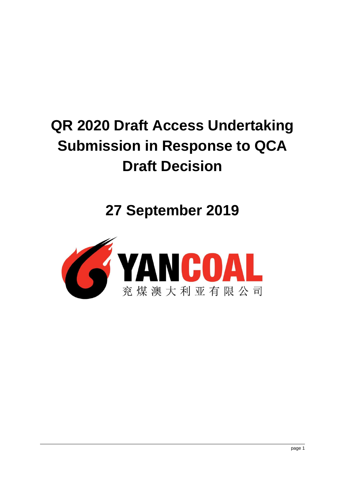# **QR 2020 Draft Access Undertaking Submission in Response to QCA Draft Decision**

**27 September 2019**

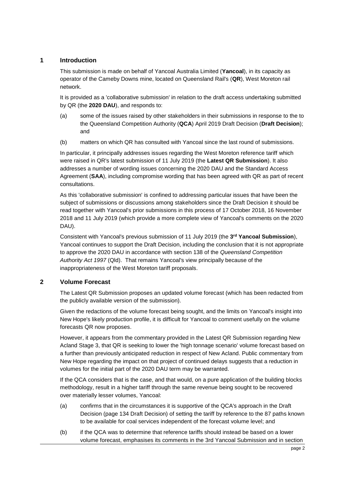## **1 Introduction**

This submission is made on behalf of Yancoal Australia Limited (**Yancoal**), in its capacity as operator of the Cameby Downs mine, located on Queensland Rail's (**QR**), West Moreton rail network.

It is provided as a 'collaborative submission' in relation to the draft access undertaking submitted by QR (the **2020 DAU**), and responds to:

- (a) some of the issues raised by other stakeholders in their submissions in response to the to the Queensland Competition Authority (**QCA**) April 2019 Draft Decision (**Draft Decision**); and
- (b) matters on which QR has consulted with Yancoal since the last round of submissions.

In particular, it principally addresses issues regarding the West Moreton reference tariff which were raised in QR's latest submission of 11 July 2019 (the **Latest QR Submission**). It also addresses a number of wording issues concerning the 2020 DAU and the Standard Access Agreement (**SAA**), including compromise wording that has been agreed with QR as part of recent consultations.

As this 'collaborative submission' is confined to addressing particular issues that have been the subject of submissions or discussions among stakeholders since the Draft Decision it should be read together with Yancoal's prior submissions in this process of 17 October 2018, 16 November 2018 and 11 July 2019 (which provide a more complete view of Yancoal's comments on the 2020 DAU).

Consistent with Yancoal's previous submission of 11 July 2019 (the **3 rd Yancoal Submission**), Yancoal continues to support the Draft Decision, including the conclusion that it is not appropriate to approve the 2020 DAU in accordance with section 138 of the *Queensland Competition Authority Act 1997* (Qld). That remains Yancoal's view principally because of the inappropriateness of the West Moreton tariff proposals.

## **2 Volume Forecast**

The Latest QR Submission proposes an updated volume forecast (which has been redacted from the publicly available version of the submission).

Given the redactions of the volume forecast being sought, and the limits on Yancoal's insight into New Hope's likely production profile, it is difficult for Yancoal to comment usefully on the volume forecasts QR now proposes.

However, it appears from the commentary provided in the Latest QR Submission regarding New Acland Stage 3, that QR is seeking to lower the 'high tonnage scenario' volume forecast based on a further than previously anticipated reduction in respect of New Acland. Public commentary from New Hope regarding the impact on that project of continued delays suggests that a reduction in volumes for the initial part of the 2020 DAU term may be warranted.

If the QCA considers that is the case, and that would, on a pure application of the building blocks methodology, result in a higher tariff through the same revenue being sought to be recovered over materially lesser volumes, Yancoal:

- (a) confirms that in the circumstances it is supportive of the QCA's approach in the Draft Decision (page 134 Draft Decision) of setting the tariff by reference to the 87 paths known to be available for coal services independent of the forecast volume level; and
- (b) if the QCA was to determine that reference tariffs should instead be based on a lower volume forecast, emphasises its comments in the 3rd Yancoal Submission and in section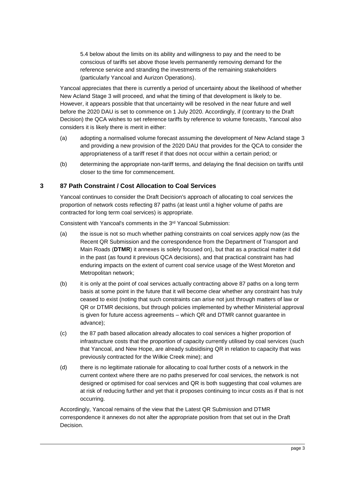[5.4](#page-7-0) below about the limits on its ability and willingness to pay and the need to be conscious of tariffs set above those levels permanently removing demand for the reference service and stranding the investments of the remaining stakeholders (particularly Yancoal and Aurizon Operations).

Yancoal appreciates that there is currently a period of uncertainty about the likelihood of whether New Acland Stage 3 will proceed, and what the timing of that development is likely to be. However, it appears possible that that uncertainty will be resolved in the near future and well before the 2020 DAU is set to commence on 1 July 2020. Accordingly, if (contrary to the Draft Decision) the QCA wishes to set reference tariffs by reference to volume forecasts, Yancoal also considers it is likely there is merit in either:

- (a) adopting a normalised volume forecast assuming the development of New Acland stage 3 and providing a new provision of the 2020 DAU that provides for the QCA to consider the appropriateness of a tariff reset if that does not occur within a certain period; or
- (b) determining the appropriate non-tariff terms, and delaying the final decision on tariffs until closer to the time for commencement.

# **3 87 Path Constraint / Cost Allocation to Coal Services**

Yancoal continues to consider the Draft Decision's approach of allocating to coal services the proportion of network costs reflecting 87 paths (at least until a higher volume of paths are contracted for long term coal services) is appropriate.

Consistent with Yancoal's comments in the 3<sup>rd</sup> Yancoal Submission:

- (a) the issue is not so much whether pathing constraints on coal services apply now (as the Recent QR Submission and the correspondence from the Department of Transport and Main Roads (**DTMR**) it annexes is solely focused on), but that as a practical matter it did in the past (as found it previous QCA decisions), and that practical constraint has had enduring impacts on the extent of current coal service usage of the West Moreton and Metropolitan network;
- (b) it is only at the point of coal services actually contracting above 87 paths on a long term basis at some point in the future that it will become clear whether any constraint has truly ceased to exist (noting that such constraints can arise not just through matters of law or QR or DTMR decisions, but through policies implemented by whether Ministerial approval is given for future access agreements – which QR and DTMR cannot guarantee in advance);
- (c) the 87 path based allocation already allocates to coal services a higher proportion of infrastructure costs that the proportion of capacity currently utilised by coal services (such that Yancoal, and New Hope, are already subsidising QR in relation to capacity that was previously contracted for the Wilkie Creek mine); and
- (d) there is no legitimate rationale for allocating to coal further costs of a network in the current context where there are no paths preserved for coal services, the network is not designed or optimised for coal services and QR is both suggesting that coal volumes are at risk of reducing further and yet that it proposes continuing to incur costs as if that is not occurring.

Accordingly, Yancoal remains of the view that the Latest QR Submission and DTMR correspondence it annexes do not alter the appropriate position from that set out in the Draft Decision.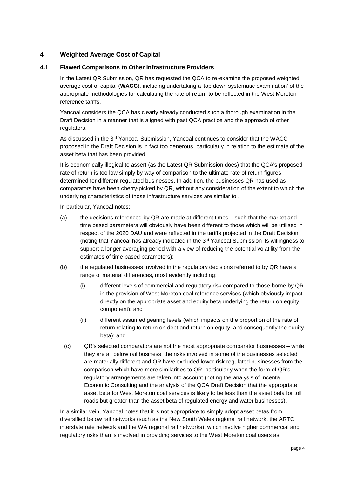# **4 Weighted Average Cost of Capital**

## **4.1 Flawed Comparisons to Other Infrastructure Providers**

In the Latest QR Submission, QR has requested the QCA to re-examine the proposed weighted average cost of capital (**WACC**), including undertaking a 'top down systematic examination' of the appropriate methodologies for calculating the rate of return to be reflected in the West Moreton reference tariffs.

Yancoal considers the QCA has clearly already conducted such a thorough examination in the Draft Decision in a manner that is aligned with past QCA practice and the approach of other regulators.

As discussed in the 3rd Yancoal Submission, Yancoal continues to consider that the WACC proposed in the Draft Decision is in fact too generous, particularly in relation to the estimate of the asset beta that has been provided.

It is economically illogical to assert (as the Latest QR Submission does) that the QCA's proposed rate of return is too low simply by way of comparison to the ultimate rate of return figures determined for different regulated businesses. In addition, the businesses QR has used as comparators have been cherry-picked by QR, without any consideration of the extent to which the underlying characteristics of those infrastructure services are similar to .

In particular, Yancoal notes:

- (a) the decisions referenced by QR are made at different times such that the market and time based parameters will obviously have been different to those which will be utilised in respect of the 2020 DAU and were reflected in the tariffs projected in the Draft Decision (noting that Yancoal has already indicated in the 3rd Yancoal Submission its willingness to support a longer averaging period with a view of reducing the potential volatility from the estimates of time based parameters);
- (b) the regulated businesses involved in the regulatory decisions referred to by QR have a range of material differences, most evidently including:
	- (i) different levels of commercial and regulatory risk compared to those borne by QR in the provision of West Moreton coal reference services (which obviously impact directly on the appropriate asset and equity beta underlying the return on equity component); and
	- (ii) different assumed gearing levels (which impacts on the proportion of the rate of return relating to return on debt and return on equity, and consequently the equity beta); and
	- (c) QR's selected comparators are not the most appropriate comparator businesses while they are all below rail business, the risks involved in some of the businesses selected are materially different and QR have excluded lower risk regulated businesses from the comparison which have more similarities to QR, particularly when the form of QR's regulatory arrangements are taken into account (noting the analysis of Incenta Economic Consulting and the analysis of the QCA Draft Decision that the appropriate asset beta for West Moreton coal services is likely to be less than the asset beta for toll roads but greater than the asset beta of regulated energy and water businesses).

In a similar vein, Yancoal notes that it is not appropriate to simply adopt asset betas from diversified below rail networks (such as the New South Wales regional rail network, the ARTC interstate rate network and the WA regional rail networks), which involve higher commercial and regulatory risks than is involved in providing services to the West Moreton coal users as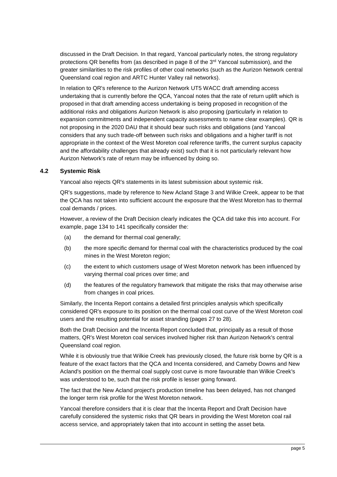discussed in the Draft Decision. In that regard, Yancoal particularly notes, the strong regulatory protections QR benefits from (as described in page 8 of the  $3<sup>rd</sup>$  Yancoal submission), and the greater similarities to the risk profiles of other coal networks (such as the Aurizon Network central Queensland coal region and ARTC Hunter Valley rail networks).

In relation to QR's reference to the Aurizon Network UT5 WACC draft amending access undertaking that is currently before the QCA, Yancoal notes that the rate of return uplift which is proposed in that draft amending access undertaking is being proposed in recognition of the additional risks and obligations Aurizon Network is also proposing (particularly in relation to expansion commitments and independent capacity assessments to name clear examples). QR is not proposing in the 2020 DAU that it should bear such risks and obligations (and Yancoal considers that any such trade-off between such risks and obligations and a higher tariff is not appropriate in the context of the West Moreton coal reference tariffs, the current surplus capacity and the affordability challenges that already exist) such that it is not particularly relevant how Aurizon Network's rate of return may be influenced by doing so.

#### **4.2 Systemic Risk**

Yancoal also rejects QR's statements in its latest submission about systemic risk.

QR's suggestions, made by reference to New Acland Stage 3 and Wilkie Creek, appear to be that the QCA has not taken into sufficient account the exposure that the West Moreton has to thermal coal demands / prices.

However, a review of the Draft Decision clearly indicates the QCA did take this into account. For example, page 134 to 141 specifically consider the:

- (a) the demand for thermal coal generally;
- (b) the more specific demand for thermal coal with the characteristics produced by the coal mines in the West Moreton region;
- (c) the extent to which customers usage of West Moreton network has been influenced by varying thermal coal prices over time; and
- (d) the features of the regulatory framework that mitigate the risks that may otherwise arise from changes in coal prices.

Similarly, the Incenta Report contains a detailed first principles analysis which specifically considered QR's exposure to its position on the thermal coal cost curve of the West Moreton coal users and the resulting potential for asset stranding (pages 27 to 28).

Both the Draft Decision and the Incenta Report concluded that, principally as a result of those matters, QR's West Moreton coal services involved higher risk than Aurizon Network's central Queensland coal region.

While it is obviously true that Wilkie Creek has previously closed, the future risk borne by QR is a feature of the exact factors that the QCA and Incenta considered, and Cameby Downs and New Acland's position on the thermal coal supply cost curve is more favourable than Wilkie Creek's was understood to be, such that the risk profile is lesser going forward.

The fact that the New Acland project's production timeline has been delayed, has not changed the longer term risk profile for the West Moreton network.

Yancoal therefore considers that it is clear that the Incenta Report and Draft Decision have carefully considered the systemic risks that QR bears in providing the West Moreton coal rail access service, and appropriately taken that into account in setting the asset beta.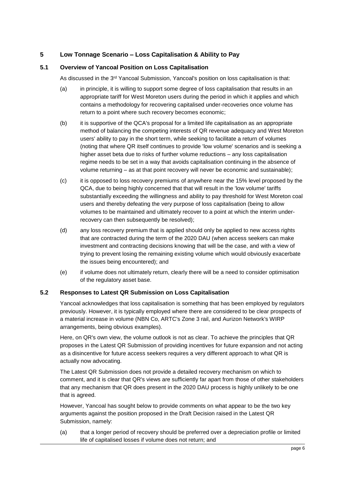# **5 Low Tonnage Scenario – Loss Capitalisation & Ability to Pay**

#### **5.1 Overview of Yancoal Position on Loss Capitalisation**

As discussed in the 3<sup>rd</sup> Yancoal Submission, Yancoal's position on loss capitalisation is that:

- (a) in principle, it is willing to support some degree of loss capitalisation that results in an appropriate tariff for West Moreton users during the period in which it applies and which contains a methodology for recovering capitalised under-recoveries once volume has return to a point where such recovery becomes economic;
- (b) it is supportive of the QCA's proposal for a limited life capitalisation as an appropriate method of balancing the competing interests of QR revenue adequacy and West Moreton users' ability to pay in the short term, while seeking to facilitate a return of volumes (noting that where QR itself continues to provide 'low volume' scenarios and is seeking a higher asset beta due to risks of further volume reductions – any loss capitalisation regime needs to be set in a way that avoids capitalisation continuing in the absence of volume returning – as at that point recovery will never be economic and sustainable);
- (c) it is opposed to loss recovery premiums of anywhere near the 15% level proposed by the QCA, due to being highly concerned that that will result in the 'low volume' tariffs substantially exceeding the willingness and ability to pay threshold for West Moreton coal users and thereby defeating the very purpose of loss capitalisation (being to allow volumes to be maintained and ultimately recover to a point at which the interim underrecovery can then subsequently be resolved);
- (d) any loss recovery premium that is applied should only be applied to new access rights that are contracted during the term of the 2020 DAU (when access seekers can make investment and contracting decisions knowing that will be the case, and with a view of trying to prevent losing the remaining existing volume which would obviously exacerbate the issues being encountered); and
- (e) if volume does not ultimately return, clearly there will be a need to consider optimisation of the regulatory asset base.

#### **5.2 Responses to Latest QR Submission on Loss Capitalisation**

Yancoal acknowledges that loss capitalisation is something that has been employed by regulators previously. However, it is typically employed where there are considered to be clear prospects of a material increase in volume (NBN Co, ARTC's Zone 3 rail, and Aurizon Network's WIRP arrangements, being obvious examples).

Here, on QR's own view, the volume outlook is not as clear. To achieve the principles that QR proposes in the Latest QR Submission of providing incentives for future expansion and not acting as a disincentive for future access seekers requires a very different approach to what QR is actually now advocating.

The Latest QR Submission does not provide a detailed recovery mechanism on which to comment, and it is clear that QR's views are sufficiently far apart from those of other stakeholders that any mechanism that QR does present in the 2020 DAU process is highly unlikely to be one that is agreed.

However, Yancoal has sought below to provide comments on what appear to be the two key arguments against the position proposed in the Draft Decision raised in the Latest QR Submission, namely:

(a) that a longer period of recovery should be preferred over a depreciation profile or limited life of capitalised losses if volume does not return; and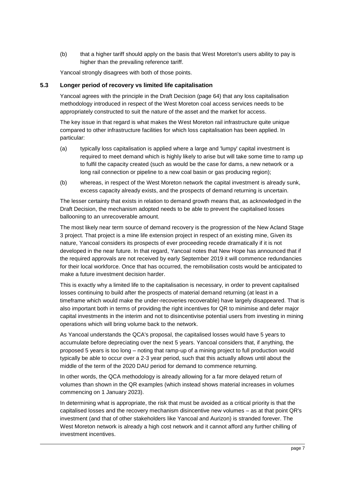(b) that a higher tariff should apply on the basis that West Moreton's users ability to pay is higher than the prevailing reference tariff.

Yancoal strongly disagrees with both of those points.

#### **5.3 Longer period of recovery vs limited life capitalisation**

Yancoal agrees with the principle in the Draft Decision (page 64) that any loss capitalisation methodology introduced in respect of the West Moreton coal access services needs to be appropriately constructed to suit the nature of the asset and the market for access.

The key issue in that regard is what makes the West Moreton rail infrastructure quite unique compared to other infrastructure facilities for which loss capitalisation has been applied. In particular:

- (a) typically loss capitalisation is applied where a large and 'lumpy' capital investment is required to meet demand which is highly likely to arise but will take some time to ramp up to fulfil the capacity created (such as would be the case for dams, a new network or a long rail connection or pipeline to a new coal basin or gas producing region);
- (b) whereas, in respect of the West Moreton network the capital investment is already sunk, excess capacity already exists, and the prospects of demand returning is uncertain.

The lesser certainty that exists in relation to demand growth means that, as acknowledged in the Draft Decision, the mechanism adopted needs to be able to prevent the capitalised losses ballooning to an unrecoverable amount.

The most likely near term source of demand recovery is the progression of the New Acland Stage 3 project. That project is a mine life extension project in respect of an existing mine, Given its nature, Yancoal considers its prospects of ever proceeding recede dramatically if it is not developed in the near future. In that regard, Yancoal notes that New Hope has announced that if the required approvals are not received by early September 2019 it will commence redundancies for their local workforce. Once that has occurred, the remobilisation costs would be anticipated to make a future investment decision harder.

This is exactly why a limited life to the capitalisation is necessary, in order to prevent capitalised losses continuing to build after the prospects of material demand returning (at least in a timeframe which would make the under-recoveries recoverable) have largely disappeared. That is also important both in terms of providing the right incentives for QR to minimise and defer major capital investments in the interim and not to disincentivise potential users from investing in mining operations which will bring volume back to the network.

As Yancoal understands the QCA's proposal, the capitalised losses would have 5 years to accumulate before depreciating over the next 5 years. Yancoal considers that, if anything, the proposed 5 years is too long – noting that ramp-up of a mining project to full production would typically be able to occur over a 2-3 year period, such that this actually allows until about the middle of the term of the 2020 DAU period for demand to commence returning.

In other words, the QCA methodology is already allowing for a far more delayed return of volumes than shown in the QR examples (which instead shows material increases in volumes commencing on 1 January 2023).

In determining what is appropriate, the risk that must be avoided as a critical priority is that the capitalised losses and the recovery mechanism disincentive new volumes – as at that point QR's investment (and that of other stakeholders like Yancoal and Aurizon) is stranded forever. The West Moreton network is already a high cost network and it cannot afford any further chilling of investment incentives.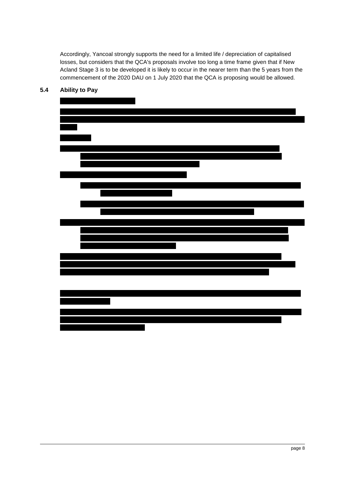Accordingly, Yancoal strongly supports the need for a limited life / depreciation of capitalised losses, but considers that the QCA's proposals involve too long a time frame given that if New Acland Stage 3 is to be developed it is likely to occur in the nearer term than the 5 years from the commencement of the 2020 DAU on 1 July 2020 that the QCA is proposing would be allowed.



# <span id="page-7-0"></span>**5.4 Ability to Pay**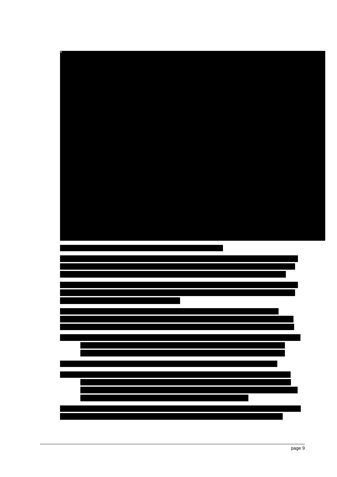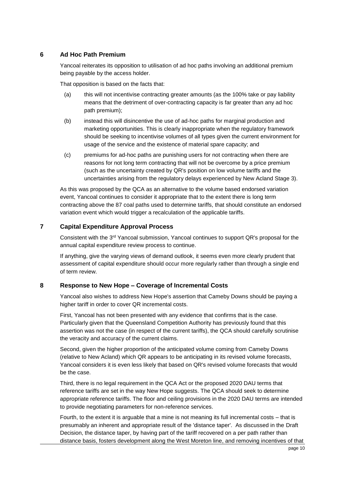# **6 Ad Hoc Path Premium**

Yancoal reiterates its opposition to utilisation of ad hoc paths involving an additional premium being payable by the access holder.

That opposition is based on the facts that:

- (a) this will not incentivise contracting greater amounts (as the 100% take or pay liability means that the detriment of over-contracting capacity is far greater than any ad hoc path premium);
- (b) instead this will disincentive the use of ad-hoc paths for marginal production and marketing opportunities. This is clearly inappropriate when the regulatory framework should be seeking to incentivise volumes of all types given the current environment for usage of the service and the existence of material spare capacity; and
- (c) premiums for ad-hoc paths are punishing users for not contracting when there are reasons for not long term contracting that will not be overcome by a price premium (such as the uncertainty created by QR's position on low volume tariffs and the uncertainties arising from the regulatory delays experienced by New Acland Stage 3).

As this was proposed by the QCA as an alternative to the volume based endorsed variation event, Yancoal continues to consider it appropriate that to the extent there is long term contracting above the 87 coal paths used to determine tariffs, that should constitute an endorsed variation event which would trigger a recalculation of the applicable tariffs.

#### **7 Capital Expenditure Approval Process**

Consistent with the 3rd Yancoal submission, Yancoal continues to support QR's proposal for the annual capital expenditure review process to continue.

If anything, give the varying views of demand outlook, it seems even more clearly prudent that assessment of capital expenditure should occur more regularly rather than through a single end of term review.

#### **8 Response to New Hope – Coverage of Incremental Costs**

Yancoal also wishes to address New Hope's assertion that Cameby Downs should be paying a higher tariff in order to cover QR incremental costs.

First, Yancoal has not been presented with any evidence that confirms that is the case. Particularly given that the Queensland Competition Authority has previously found that this assertion was not the case (in respect of the current tariffs), the QCA should carefully scrutinise the veracity and accuracy of the current claims.

Second, given the higher proportion of the anticipated volume coming from Cameby Downs (relative to New Acland) which QR appears to be anticipating in its revised volume forecasts, Yancoal considers it is even less likely that based on QR's revised volume forecasts that would be the case.

Third, there is no legal requirement in the QCA Act or the proposed 2020 DAU terms that reference tariffs are set in the way New Hope suggests. The QCA should seek to determine appropriate reference tariffs. The floor and ceiling provisions in the 2020 DAU terms are intended to provide negotiating parameters for non-reference services.

Fourth, to the extent it is arguable that a mine is not meaning its full incremental costs – that is presumably an inherent and appropriate result of the 'distance taper'. As discussed in the Draft Decision, the distance taper, by having part of the tariff recovered on a per path rather than distance basis, fosters development along the West Moreton line, and removing incentives of that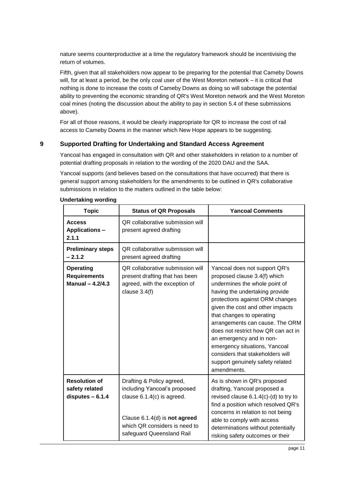nature seems counterproductive at a time the regulatory framework should be incentivising the return of volumes.

Fifth, given that all stakeholders now appear to be preparing for the potential that Cameby Downs will, for at least a period, be the only coal user of the West Moreton network – it is critical that nothing is done to increase the costs of Cameby Downs as doing so will sabotage the potential ability to preventing the economic stranding of QR's West Moreton network and the West Moreton coal mines (noting the discussion about the ability to pay in section [5.4](#page-7-0) of these submissions above).

For all of those reasons, it would be clearly inappropriate for QR to increase the cost of rail access to Cameby Downs in the manner which New Hope appears to be suggesting.

#### **9 Supported Drafting for Undertaking and Standard Access Agreement**

Yancoal has engaged in consultation with QR and other stakeholders in relation to a number of potential drafting proposals in relation to the wording of the 2020 DAU and the SAA.

Yancoal supports (and believes based on the consultations that have occurred) that there is general support among stakeholders for the amendments to be outlined in QR's collaborative submissions in relation to the matters outlined in the table below:

| <b>Topic</b>                                                 | <b>Status of QR Proposals</b>                                                                                                                                                          | <b>Yancoal Comments</b>                                                                                                                                                                                                                                                                                                                                                                                                                                            |
|--------------------------------------------------------------|----------------------------------------------------------------------------------------------------------------------------------------------------------------------------------------|--------------------------------------------------------------------------------------------------------------------------------------------------------------------------------------------------------------------------------------------------------------------------------------------------------------------------------------------------------------------------------------------------------------------------------------------------------------------|
| <b>Access</b><br><b>Applications -</b><br>2.1.1              | QR collaborative submission will<br>present agreed drafting                                                                                                                            |                                                                                                                                                                                                                                                                                                                                                                                                                                                                    |
| <b>Preliminary steps</b><br>$-2.1.2$                         | OR collaborative submission will<br>present agreed drafting                                                                                                                            |                                                                                                                                                                                                                                                                                                                                                                                                                                                                    |
| <b>Operating</b><br><b>Requirements</b><br>Manual - 4.2/4.3  | QR collaborative submission will<br>present drafting that has been<br>agreed, with the exception of<br>clause $3.4(f)$                                                                 | Yancoal does not support QR's<br>proposed clause 3.4(f) which<br>undermines the whole point of<br>having the undertaking provide<br>protections against ORM changes<br>given the cost and other impacts<br>that changes to operating<br>arrangements can cause. The ORM<br>does not restrict how QR can act in<br>an emergency and in non-<br>emergency situations, Yancoal<br>considers that stakeholders will<br>support genuinely safety related<br>amendments. |
| <b>Resolution of</b><br>safety related<br>$disputes - 6.1.4$ | Drafting & Policy agreed,<br>including Yancoal's proposed<br>clause 6.1.4(c) is agreed.<br>Clause 6.1.4(d) is not agreed<br>which QR considers is need to<br>safeguard Queensland Rail | As is shown in QR's proposed<br>drafting, Yancoal proposed a<br>revised clause $6.1.4(c)$ -(d) to try to<br>find a position which resolved QR's<br>concerns in relation to not being<br>able to comply with access<br>determinations without potentially<br>risking safety outcomes or their                                                                                                                                                                       |

#### **Undertaking wording**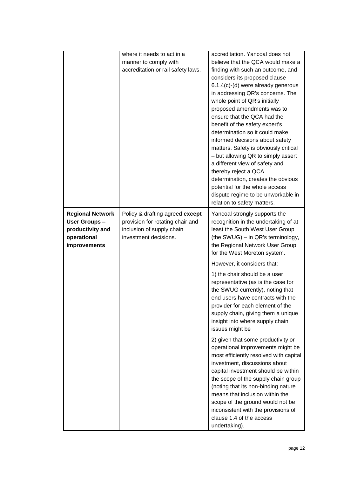|                                                                                             | where it needs to act in a<br>manner to comply with<br>accreditation or rail safety laws.                                 | accreditation. Yancoal does not<br>believe that the QCA would make a<br>finding with such an outcome, and<br>considers its proposed clause<br>6.1.4(c)-(d) were already generous<br>in addressing QR's concerns. The<br>whole point of QR's initially<br>proposed amendments was to<br>ensure that the QCA had the<br>benefit of the safety expert's<br>determination so it could make<br>informed decisions about safety<br>matters. Safety is obviously critical<br>- but allowing QR to simply assert<br>a different view of safety and<br>thereby reject a QCA<br>determination, creates the obvious<br>potential for the whole access<br>dispute regime to be unworkable in<br>relation to safety matters. |
|---------------------------------------------------------------------------------------------|---------------------------------------------------------------------------------------------------------------------------|-----------------------------------------------------------------------------------------------------------------------------------------------------------------------------------------------------------------------------------------------------------------------------------------------------------------------------------------------------------------------------------------------------------------------------------------------------------------------------------------------------------------------------------------------------------------------------------------------------------------------------------------------------------------------------------------------------------------|
| <b>Regional Network</b><br>User Groups -<br>productivity and<br>operational<br>improvements | Policy & drafting agreed except<br>provision for rotating chair and<br>inclusion of supply chain<br>investment decisions. | Yancoal strongly supports the<br>recognition in the undertaking of at<br>least the South West User Group<br>(the SWUG) – in QR's terminology,<br>the Regional Network User Group<br>for the West Moreton system.                                                                                                                                                                                                                                                                                                                                                                                                                                                                                                |
|                                                                                             |                                                                                                                           | However, it considers that:                                                                                                                                                                                                                                                                                                                                                                                                                                                                                                                                                                                                                                                                                     |
|                                                                                             |                                                                                                                           | 1) the chair should be a user<br>representative (as is the case for<br>the SWUG currently), noting that<br>end users have contracts with the<br>provider for each element of the<br>supply chain, giving them a unique<br>insight into where supply chain<br>issues might be                                                                                                                                                                                                                                                                                                                                                                                                                                    |
|                                                                                             |                                                                                                                           | 2) given that some productivity or<br>operational improvements might be<br>most efficiently resolved with capital<br>investment, discussions about<br>capital investment should be within<br>the scope of the supply chain group<br>(noting that its non-binding nature<br>means that inclusion within the<br>scope of the ground would not be<br>inconsistent with the provisions of<br>clause 1.4 of the access<br>undertaking).                                                                                                                                                                                                                                                                              |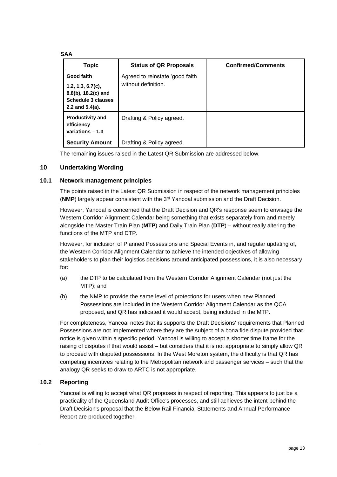#### **SAA**

| <b>Topic</b>                                                                                              | <b>Status of QR Proposals</b>                          | <b>Confirmed/Comments</b> |
|-----------------------------------------------------------------------------------------------------------|--------------------------------------------------------|---------------------------|
| Good faith<br>1.2, 1.3, 6.7(c),<br>8.8(b), 18.2(c) and<br><b>Schedule 3 clauses</b><br>2.2 and $5.4(a)$ . | Agreed to reinstate 'good faith<br>without definition. |                           |
| <b>Productivity and</b><br>efficiency<br>variations $-1.3$                                                | Drafting & Policy agreed.                              |                           |
| <b>Security Amount</b>                                                                                    | Drafting & Policy agreed.                              |                           |

The remaining issues raised in the Latest QR Submission are addressed below.

# **10 Undertaking Wording**

#### **10.1 Network management principles**

The points raised in the Latest QR Submission in respect of the network management principles (**NMP**) largely appear consistent with the 3rd Yancoal submission and the Draft Decision.

However, Yancoal is concerned that the Draft Decision and QR's response seem to envisage the Western Corridor Alignment Calendar being something that exists separately from and merely alongside the Master Train Plan (**MTP**) and Daily Train Plan (**DTP**) – without really altering the functions of the MTP and DTP.

However, for inclusion of Planned Possessions and Special Events in, and regular updating of, the Western Corridor Alignment Calendar to achieve the intended objectives of allowing stakeholders to plan their logistics decisions around anticipated possessions, it is also necessary for:

- (a) the DTP to be calculated from the Western Corridor Alignment Calendar (not just the MTP); and
- (b) the NMP to provide the same level of protections for users when new Planned Possessions are included in the Western Corridor Alignment Calendar as the QCA proposed, and QR has indicated it would accept, being included in the MTP.

For completeness, Yancoal notes that its supports the Draft Decisions' requirements that Planned Possessions are not implemented where they are the subject of a bona fide dispute provided that notice is given within a specific period. Yancoal is willing to accept a shorter time frame for the raising of disputes if that would assist – but considers that it is not appropriate to simply allow QR to proceed with disputed possessions. In the West Moreton system, the difficulty is that QR has competing incentives relating to the Metropolitan network and passenger services – such that the analogy QR seeks to draw to ARTC is not appropriate.

#### **10.2 Reporting**

Yancoal is willing to accept what QR proposes in respect of reporting. This appears to just be a practicality of the Queensland Audit Office's processes, and still achieves the intent behind the Draft Decision's proposal that the Below Rail Financial Statements and Annual Performance Report are produced together.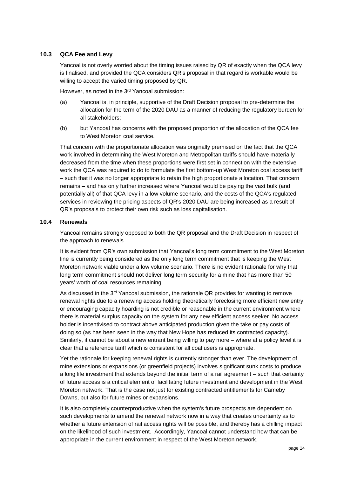#### **10.3 QCA Fee and Levy**

Yancoal is not overly worried about the timing issues raised by QR of exactly when the QCA levy is finalised, and provided the QCA considers QR's proposal in that regard is workable would be willing to accept the varied timing proposed by QR.

However, as noted in the 3rd Yancoal submission:

- (a) Yancoal is, in principle, supportive of the Draft Decision proposal to pre-determine the allocation for the term of the 2020 DAU as a manner of reducing the regulatory burden for all stakeholders;
- (b) but Yancoal has concerns with the proposed proportion of the allocation of the QCA fee to West Moreton coal service.

That concern with the proportionate allocation was originally premised on the fact that the QCA work involved in determining the West Moreton and Metropolitan tariffs should have materially decreased from the time when these proportions were first set in connection with the extensive work the QCA was required to do to formulate the first bottom-up West Moreton coal access tariff – such that it was no longer appropriate to retain the high proportionate allocation. That concern remains – and has only further increased where Yancoal would be paying the vast bulk (and potentially all) of that QCA levy in a low volume scenario, and the costs of the QCA's regulated services in reviewing the pricing aspects of QR's 2020 DAU are being increased as a result of QR's proposals to protect their own risk such as loss capitalisation.

#### **10.4 Renewals**

Yancoal remains strongly opposed to both the QR proposal and the Draft Decision in respect of the approach to renewals.

It is evident from QR's own submission that Yancoal's long term commitment to the West Moreton line is currently being considered as the only long term commitment that is keeping the West Moreton network viable under a low volume scenario. There is no evident rationale for why that long term commitment should not deliver long term security for a mine that has more than 50 years' worth of coal resources remaining.

As discussed in the 3<sup>rd</sup> Yancoal submission, the rationale QR provides for wanting to remove renewal rights due to a renewing access holding theoretically foreclosing more efficient new entry or encouraging capacity hoarding is not credible or reasonable in the current environment where there is material surplus capacity on the system for any new efficient access seeker. No access holder is incentivised to contract above anticipated production given the take or pay costs of doing so (as has been seen in the way that New Hope has reduced its contracted capacity). Similarly, it cannot be about a new entrant being willing to pay more – where at a policy level it is clear that a reference tariff which is consistent for all coal users is appropriate.

Yet the rationale for keeping renewal rights is currently stronger than ever. The development of mine extensions or expansions (or greenfield projects) involves significant sunk costs to produce a long life investment that extends beyond the initial term of a rail agreement – such that certainty of future access is a critical element of facilitating future investment and development in the West Moreton network. That is the case not just for existing contracted entitlements for Cameby Downs, but also for future mines or expansions.

It is also completely counterproductive when the system's future prospects are dependent on such developments to amend the renewal network now in a way that creates uncertainty as to whether a future extension of rail access rights will be possible, and thereby has a chilling impact on the likelihood of such investment. Accordingly, Yancoal cannot understand how that can be appropriate in the current environment in respect of the West Moreton network.